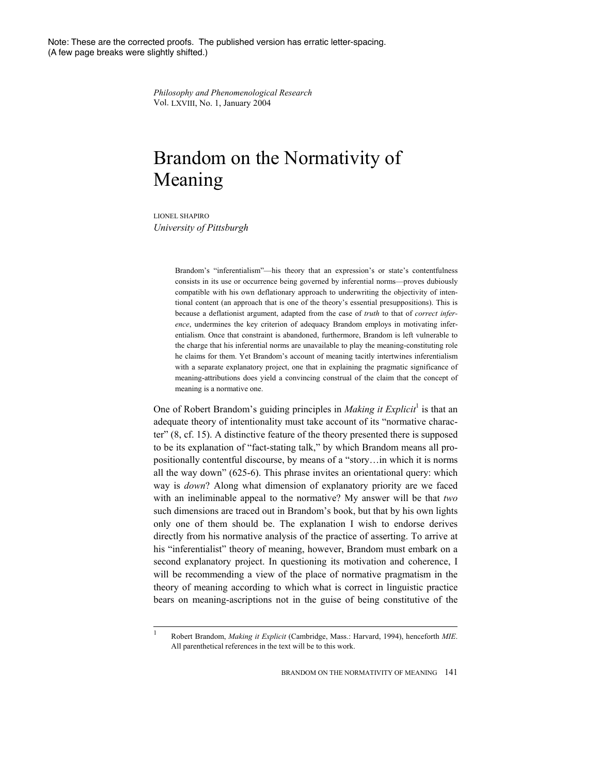Note: These are the corrected proofs. The published version has erratic letter-spacing. (A few page breaks were slightly shifted.)

> *Philosophy and Phenomenological Research*  Vol. LXVIII, No. 1, January 2004

## Brandom on the Normativity of Meaning

LIONEL SHAPIRO *University of Pittsburgh* 

> Brandom's "inferentialism"—his theory that an expression's or state's contentfulness consists in its use or occurrence being governed by inferential norms—proves dubiously compatible with his own deflationary approach to underwriting the objectivity of intentional content (an approach that is one of the theory's essential presuppositions). This is because a deflationist argument, adapted from the case of *truth* to that of *correct inference*, undermines the key criterion of adequacy Brandom employs in motivating inferentialism. Once that constraint is abandoned, furthermore, Brandom is left vulnerable to the charge that his inferential norms are unavailable to play the meaning-constituting role he claims for them. Yet Brandom's account of meaning tacitly intertwines inferentialism with a separate explanatory project, one that in explaining the pragmatic significance of meaning-attributions does yield a convincing construal of the claim that the concept of meaning is a normative one.

One of Robert Brandom's guiding principles in *Making it Explicit*<sup>1</sup> is that an adequate theory of intentionality must take account of its "normative character" (8, cf. 15). A distinctive feature of the theory presented there is supposed to be its explanation of "fact-stating talk," by which Brandom means all propositionally contentful discourse, by means of a "story…in which it is norms all the way down" (625-6). This phrase invites an orientational query: which way is *down*? Along what dimension of explanatory priority are we faced with an ineliminable appeal to the normative? My answer will be that *two* such dimensions are traced out in Brandom's book, but that by his own lights only one of them should be. The explanation I wish to endorse derives directly from his normative analysis of the practice of asserting. To arrive at his "inferentialist" theory of meaning, however, Brandom must embark on a second explanatory project. In questioning its motivation and coherence, I will be recommending a view of the place of normative pragmatism in the theory of meaning according to which what is correct in linguistic practice bears on meaning-ascriptions not in the guise of being constitutive of the

<sup>|&</sup>lt;br>| Robert Brandom, *Making it Explicit* (Cambridge, Mass.: Harvard, 1994), henceforth *MIE*. All parenthetical references in the text will be to this work.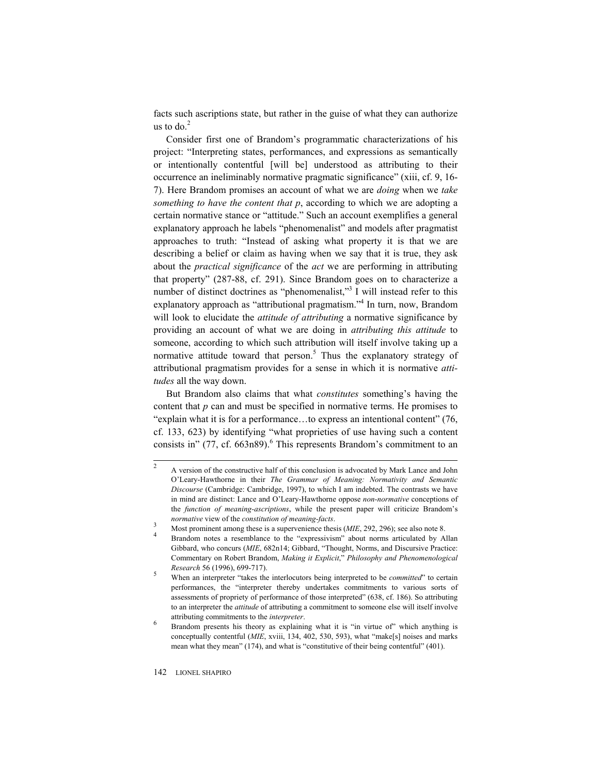facts such ascriptions state, but rather in the guise of what they can authorize us to  $d\sigma^2$ 

Consider first one of Brandom's programmatic characterizations of his project: "Interpreting states, performances, and expressions as semantically or intentionally contentful [will be] understood as attributing to their occurrence an ineliminably normative pragmatic significance" (xiii, cf. 9, 16- 7). Here Brandom promises an account of what we are *doing* when we *take something to have the content that p*, according to which we are adopting a certain normative stance or "attitude." Such an account exemplifies a general explanatory approach he labels "phenomenalist" and models after pragmatist approaches to truth: "Instead of asking what property it is that we are describing a belief or claim as having when we say that it is true, they ask about the *practical significance* of the *act* we are performing in attributing that property" (287-88, cf. 291). Since Brandom goes on to characterize a number of distinct doctrines as "phenomenalist,"<sup>3</sup> I will instead refer to this explanatory approach as "attributional pragmatism."<sup>4</sup> In turn, now, Brandom will look to elucidate the *attitude of attributing* a normative significance by providing an account of what we are doing in *attributing this attitude* to someone, according to which such attribution will itself involve taking up a normative attitude toward that person. $5$  Thus the explanatory strategy of attributional pragmatism provides for a sense in which it is normative *attitudes* all the way down.

But Brandom also claims that what *constitutes* something's having the content that *p* can and must be specified in normative terms. He promises to "explain what it is for a performance…to express an intentional content" (76, cf. 133, 623) by identifying "what proprieties of use having such a content consists in"  $(77, cf. 663n89)$ .<sup>6</sup> This represents Brandom's commitment to an

<sup>2</sup>  A version of the constructive half of this conclusion is advocated by Mark Lance and John O'Leary-Hawthorne in their *The Grammar of Meaning: Normativity and Semantic Discourse* (Cambridge: Cambridge, 1997), to which I am indebted. The contrasts we have in mind are distinct: Lance and O'Leary-Hawthorne oppose *non-normative* conceptions of the *function of meaning-ascriptions*, while the present paper will criticize Brandom's *normative* view of the *constitution of meaning-facts*.

Most prominent among these is a supervenience thesis (*MIE*, 292, 296); see also note 8.

Brandom notes a resemblance to the "expressivism" about norms articulated by Allan Gibbard, who concurs (*MIE*, 682n14; Gibbard, "Thought, Norms, and Discursive Practice: Commentary on Robert Brandom, *Making it Explicit*," *Philosophy and Phenomenological Research* 56 (1996), 699-717). 5

When an interpreter "takes the interlocutors being interpreted to be *committed*" to certain performances, the "interpreter thereby undertakes commitments to various sorts of assessments of propriety of performance of those interpreted" (638, cf. 186). So attributing to an interpreter the *attitude* of attributing a commitment to someone else will itself involve attributing commitments to the *interpreter*. 6

Brandom presents his theory as explaining what it is "in virtue of" which anything is conceptually contentful (*MIE*, xviii, 134, 402, 530, 593), what "make[s] noises and marks mean what they mean" (174), and what is "constitutive of their being contentful" (401).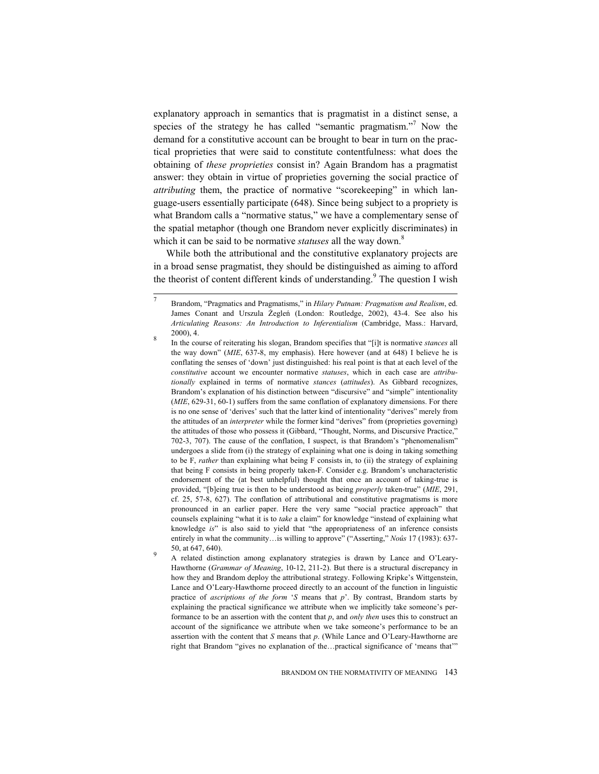explanatory approach in semantics that is pragmatist in a distinct sense, a species of the strategy he has called "semantic pragmatism."<sup>7</sup> Now the demand for a constitutive account can be brought to bear in turn on the practical proprieties that were said to constitute contentfulness: what does the obtaining of *these proprieties* consist in? Again Brandom has a pragmatist answer: they obtain in virtue of proprieties governing the social practice of *attributing* them, the practice of normative "scorekeeping" in which language-users essentially participate (648). Since being subject to a propriety is what Brandom calls a "normative status," we have a complementary sense of the spatial metaphor (though one Brandom never explicitly discriminates) in which it can be said to be normative *statuses* all the way down.<sup>8</sup>

While both the attributional and the constitutive explanatory projects are in a broad sense pragmatist, they should be distinguished as aiming to afford the theorist of content different kinds of understanding.<sup>9</sup> The question I wish

<sup>7</sup>  Brandom, "Pragmatics and Pragmatisms," in *Hilary Putnam: Pragmatism and Realism*, ed. James Conant and Urszula Żegleń (London: Routledge, 2002), 43-4. See also his *Articulating Reasons: An Introduction to Inferentialism* (Cambridge, Mass.: Harvard,  $\frac{2000}{9}$ , 4.

In the course of reiterating his slogan, Brandom specifies that "[i]t is normative *stances* all the way down" (*MIE*, 637-8, my emphasis). Here however (and at 648) I believe he is conflating the senses of 'down' just distinguished: his real point is that at each level of the *constitutive* account we encounter normative *statuses*, which in each case are *attributionally* explained in terms of normative *stances* (*attitudes*). As Gibbard recognizes, Brandom's explanation of his distinction between "discursive" and "simple" intentionality (*MIE*, 629-31, 60-1) suffers from the same conflation of explanatory dimensions. For there is no one sense of 'derives' such that the latter kind of intentionality "derives" merely from the attitudes of an *interpreter* while the former kind "derives" from (proprieties governing) the attitudes of those who possess it (Gibbard, "Thought, Norms, and Discursive Practice," 702-3, 707). The cause of the conflation, I suspect, is that Brandom's "phenomenalism" undergoes a slide from (i) the strategy of explaining what one is doing in taking something to be F, *rather* than explaining what being F consists in, to (ii) the strategy of explaining that being F consists in being properly taken-F. Consider e.g. Brandom's uncharacteristic endorsement of the (at best unhelpful) thought that once an account of taking-true is provided, "[b]eing true is then to be understood as being *properly* taken-true" (*MIE*, 291, cf. 25, 57-8, 627). The conflation of attributional and constitutive pragmatisms is more pronounced in an earlier paper. Here the very same "social practice approach" that counsels explaining "what it is to *take* a claim" for knowledge "instead of explaining what knowledge *is*" is also said to yield that "the appropriateness of an inference consists entirely in what the community…is willing to approve" ("Asserting," *Noûs* 17 (1983): 637- 50, at  $647, 640$ .

A related distinction among explanatory strategies is drawn by Lance and O'Leary-Hawthorne (*Grammar of Meaning*, 10-12, 211-2). But there is a structural discrepancy in how they and Brandom deploy the attributional strategy. Following Kripke's Wittgenstein, Lance and O'Leary-Hawthorne proceed directly to an account of the function in linguistic practice of *ascriptions of the form* '*S* means that *p*'. By contrast, Brandom starts by explaining the practical significance we attribute when we implicitly take someone's performance to be an assertion with the content that *p*, and *only then* uses this to construct an account of the significance we attribute when we take someone's performance to be an assertion with the content that *S* means that *p*. (While Lance and O'Leary-Hawthorne are right that Brandom "gives no explanation of the…practical significance of 'means that'"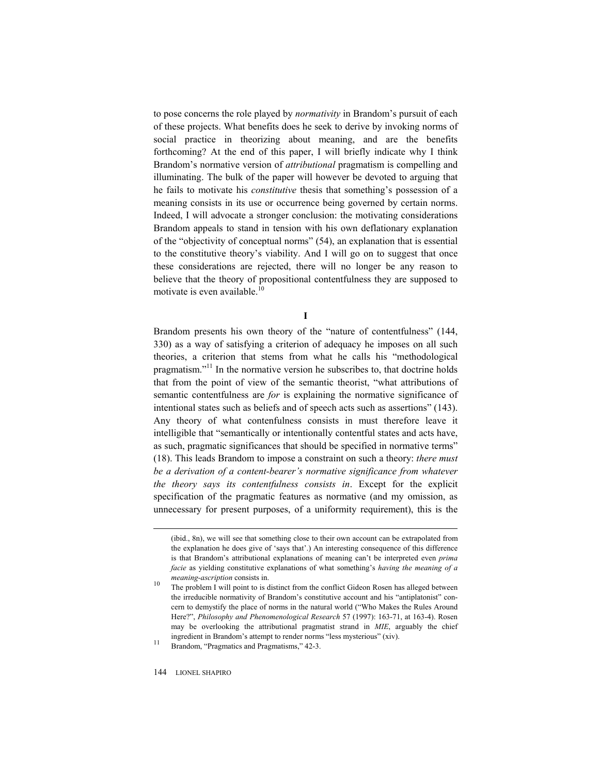to pose concerns the role played by *normativity* in Brandom's pursuit of each of these projects. What benefits does he seek to derive by invoking norms of social practice in theorizing about meaning, and are the benefits forthcoming? At the end of this paper, I will briefly indicate why I think Brandom's normative version of *attributional* pragmatism is compelling and illuminating. The bulk of the paper will however be devoted to arguing that he fails to motivate his *constitutive* thesis that something's possession of a meaning consists in its use or occurrence being governed by certain norms. Indeed, I will advocate a stronger conclusion: the motivating considerations Brandom appeals to stand in tension with his own deflationary explanation of the "objectivity of conceptual norms" (54), an explanation that is essential to the constitutive theory's viability. And I will go on to suggest that once these considerations are rejected, there will no longer be any reason to believe that the theory of propositional contentfulness they are supposed to motivate is even available.<sup>10</sup>

**I** 

Brandom presents his own theory of the "nature of contentfulness" (144, 330) as a way of satisfying a criterion of adequacy he imposes on all such theories, a criterion that stems from what he calls his "methodological pragmatism."<sup>11</sup> In the normative version he subscribes to, that doctrine holds that from the point of view of the semantic theorist, "what attributions of semantic contentfulness are *for* is explaining the normative significance of intentional states such as beliefs and of speech acts such as assertions" (143). Any theory of what contenfulness consists in must therefore leave it intelligible that "semantically or intentionally contentful states and acts have, as such, pragmatic significances that should be specified in normative terms" (18). This leads Brandom to impose a constraint on such a theory: *there must be a derivation of a content-bearer's normative significance from whatever the theory says its contentfulness consists in*. Except for the explicit specification of the pragmatic features as normative (and my omission, as unnecessary for present purposes, of a uniformity requirement), this is the

<sup>(</sup>ibid., 8n), we will see that something close to their own account can be extrapolated from the explanation he does give of 'says that'.) An interesting consequence of this difference is that Brandom's attributional explanations of meaning can't be interpreted even *prima facie* as yielding constitutive explanations of what something's *having the meaning of a meaning-ascription* consists in.<br><sup>10</sup> The problem I will point to is distinct from the conflict Gideon Rosen has alleged between

the irreducible normativity of Brandom's constitutive account and his "antiplatonist" concern to demystify the place of norms in the natural world ("Who Makes the Rules Around Here?", *Philosophy and Phenomenological Research* 57 (1997): 163-71, at 163-4). Rosen may be overlooking the attributional pragmatist strand in *MIE*, arguably the chief ingredient in Brandom's attempt to render norms "less mysterious" (xiv). 11 Brandom, "Pragmatics and Pragmatisms," 42-3.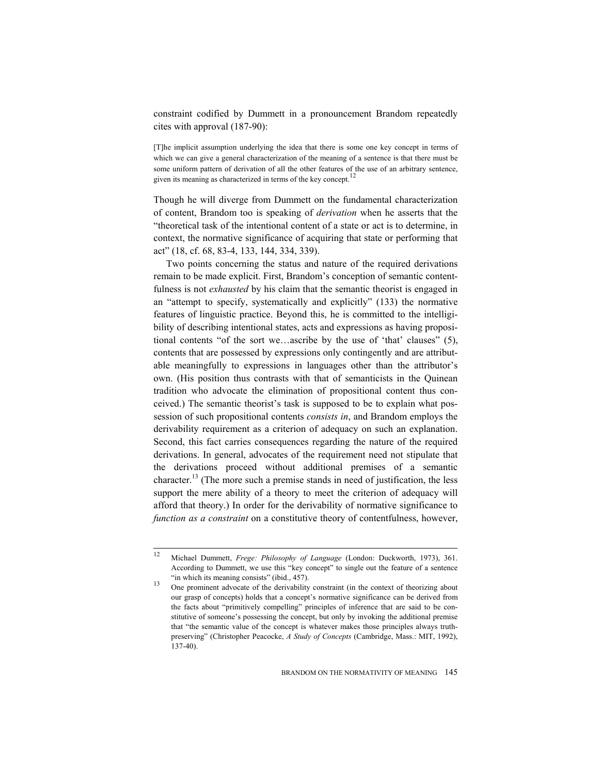constraint codified by Dummett in a pronouncement Brandom repeatedly cites with approval (187-90):

[T]he implicit assumption underlying the idea that there is some one key concept in terms of which we can give a general characterization of the meaning of a sentence is that there must be some uniform pattern of derivation of all the other features of the use of an arbitrary sentence, given its meaning as characterized in terms of the key concept.<sup>12</sup>

Though he will diverge from Dummett on the fundamental characterization of content, Brandom too is speaking of *derivation* when he asserts that the "theoretical task of the intentional content of a state or act is to determine, in context, the normative significance of acquiring that state or performing that act" (18, cf. 68, 83-4, 133, 144, 334, 339).

Two points concerning the status and nature of the required derivations remain to be made explicit. First, Brandom's conception of semantic contentfulness is not *exhausted* by his claim that the semantic theorist is engaged in an "attempt to specify, systematically and explicitly" (133) the normative features of linguistic practice. Beyond this, he is committed to the intelligibility of describing intentional states, acts and expressions as having propositional contents "of the sort we…ascribe by the use of 'that' clauses" (5), contents that are possessed by expressions only contingently and are attributable meaningfully to expressions in languages other than the attributor's own. (His position thus contrasts with that of semanticists in the Quinean tradition who advocate the elimination of propositional content thus conceived.) The semantic theorist's task is supposed to be to explain what possession of such propositional contents *consists in*, and Brandom employs the derivability requirement as a criterion of adequacy on such an explanation. Second, this fact carries consequences regarding the nature of the required derivations. In general, advocates of the requirement need not stipulate that the derivations proceed without additional premises of a semantic character.<sup>13</sup> (The more such a premise stands in need of justification, the less support the mere ability of a theory to meet the criterion of adequacy will afford that theory.) In order for the derivability of normative significance to *function as a constraint* on a constitutive theory of contentfulness, however,

 $12$ 12 Michael Dummett, *Frege: Philosophy of Language* (London: Duckworth, 1973), 361. According to Dummett, we use this "key concept" to single out the feature of a sentence

<sup>&</sup>quot;in which its meaning consists" (ibid., 457). 13 One prominent advocate of the derivability constraint (in the context of theorizing about our grasp of concepts) holds that a concept's normative significance can be derived from the facts about "primitively compelling" principles of inference that are said to be constitutive of someone's possessing the concept, but only by invoking the additional premise that "the semantic value of the concept is whatever makes those principles always truthpreserving" (Christopher Peacocke, *A Study of Concepts* (Cambridge, Mass.: MIT, 1992), 137-40).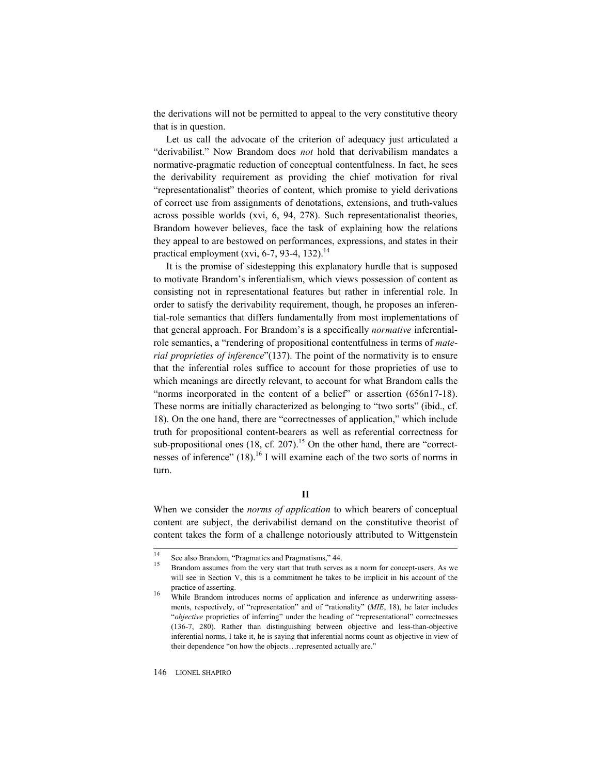the derivations will not be permitted to appeal to the very constitutive theory that is in question.

Let us call the advocate of the criterion of adequacy just articulated a "derivabilist." Now Brandom does *not* hold that derivabilism mandates a normative-pragmatic reduction of conceptual contentfulness. In fact, he sees the derivability requirement as providing the chief motivation for rival "representationalist" theories of content, which promise to yield derivations of correct use from assignments of denotations, extensions, and truth-values across possible worlds (xvi, 6, 94, 278). Such representationalist theories, Brandom however believes, face the task of explaining how the relations they appeal to are bestowed on performances, expressions, and states in their practical employment (xvi, 6-7, 93-4, 132).<sup>14</sup>

It is the promise of sidestepping this explanatory hurdle that is supposed to motivate Brandom's inferentialism, which views possession of content as consisting not in representational features but rather in inferential role. In order to satisfy the derivability requirement, though, he proposes an inferential-role semantics that differs fundamentally from most implementations of that general approach. For Brandom's is a specifically *normative* inferentialrole semantics, a "rendering of propositional contentfulness in terms of *material proprieties of inference*"(137). The point of the normativity is to ensure that the inferential roles suffice to account for those proprieties of use to which meanings are directly relevant, to account for what Brandom calls the "norms incorporated in the content of a belief" or assertion (656n17-18). These norms are initially characterized as belonging to "two sorts" (ibid., cf. 18). On the one hand, there are "correctnesses of application," which include truth for propositional content-bearers as well as referential correctness for sub-propositional ones (18, cf. 207).<sup>15</sup> On the other hand, there are "correctnesses of inference" (18).<sup>16</sup> I will examine each of the two sorts of norms in turn.

When we consider the *norms of application* to which bearers of conceptual content are subject, the derivabilist demand on the constitutive theorist of content takes the form of a challenge notoriously attributed to Wittgenstein

 $14$ 

<sup>&</sup>lt;sup>14</sup> See also Brandom, "Pragmatics and Pragmatisms,"  $44$ .<br><sup>15</sup> Brandom assumes from the very start that truth serves as a norm for concept-users. As we will see in Section V, this is a commitment he takes to be implicit in his account of the

practice of asserting.<br><sup>16</sup> While Brandom introduces norms of application and inference as underwriting assessments, respectively, of "representation" and of "rationality" (*MIE*, 18), he later includes "*objective* proprieties of inferring" under the heading of "representational" correctnesses (136-7, 280). Rather than distinguishing between objective and less-than-objective inferential norms, I take it, he is saying that inferential norms count as objective in view of their dependence "on how the objects…represented actually are."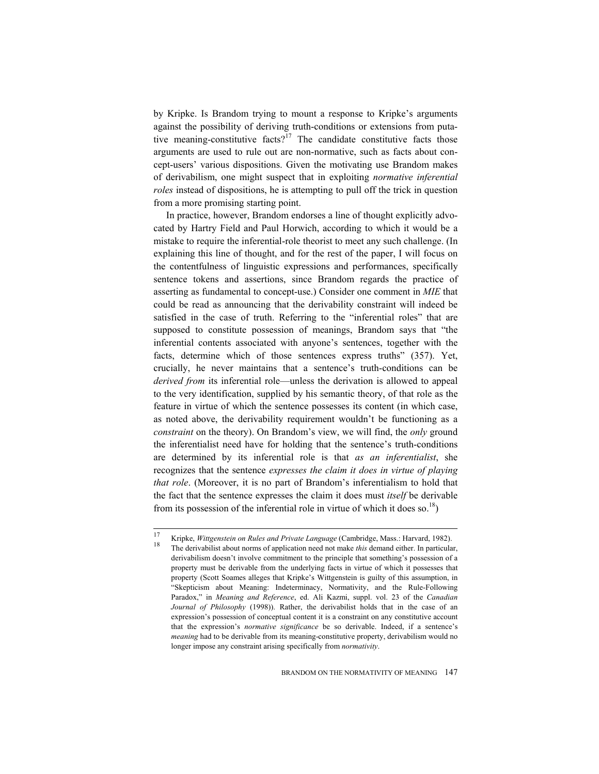by Kripke. Is Brandom trying to mount a response to Kripke's arguments against the possibility of deriving truth-conditions or extensions from putative meaning-constitutive facts?<sup>17</sup> The candidate constitutive facts those arguments are used to rule out are non-normative, such as facts about concept-users' various dispositions. Given the motivating use Brandom makes of derivabilism, one might suspect that in exploiting *normative inferential roles* instead of dispositions, he is attempting to pull off the trick in question from a more promising starting point.

In practice, however, Brandom endorses a line of thought explicitly advocated by Hartry Field and Paul Horwich, according to which it would be a mistake to require the inferential-role theorist to meet any such challenge. (In explaining this line of thought, and for the rest of the paper, I will focus on the contentfulness of linguistic expressions and performances, specifically sentence tokens and assertions, since Brandom regards the practice of asserting as fundamental to concept-use.) Consider one comment in *MIE* that could be read as announcing that the derivability constraint will indeed be satisfied in the case of truth. Referring to the "inferential roles" that are supposed to constitute possession of meanings, Brandom says that "the inferential contents associated with anyone's sentences, together with the facts, determine which of those sentences express truths" (357). Yet, crucially, he never maintains that a sentence's truth-conditions can be *derived from* its inferential role—unless the derivation is allowed to appeal to the very identification, supplied by his semantic theory, of that role as the feature in virtue of which the sentence possesses its content (in which case, as noted above, the derivability requirement wouldn't be functioning as a *constraint* on the theory). On Brandom's view, we will find, the *only* ground the inferentialist need have for holding that the sentence's truth-conditions are determined by its inferential role is that *as an inferentialist*, she recognizes that the sentence *expresses the claim it does in virtue of playing that role*. (Moreover, it is no part of Brandom's inferentialism to hold that the fact that the sentence expresses the claim it does must *itself* be derivable from its possession of the inferential role in virtue of which it does so.<sup>18</sup>)

<sup>17</sup> 17 Kripke, *Wittgenstein on Rules and Private Language* (Cambridge, Mass.: Harvard, 1982). 18 The derivabilist about norms of application need not make *this* demand either. In particular, derivabilism doesn't involve commitment to the principle that something's possession of a property must be derivable from the underlying facts in virtue of which it possesses that property (Scott Soames alleges that Kripke's Wittgenstein is guilty of this assumption, in "Skepticism about Meaning: Indeterminacy, Normativity, and the Rule-Following Paradox," in *Meaning and Reference*, ed. Ali Kazmi, suppl. vol. 23 of the *Canadian Journal of Philosophy* (1998)). Rather, the derivabilist holds that in the case of an expression's possession of conceptual content it is a constraint on any constitutive account that the expression's *normative significance* be so derivable. Indeed, if a sentence's *meaning* had to be derivable from its meaning-constitutive property, derivabilism would no longer impose any constraint arising specifically from *normativity*.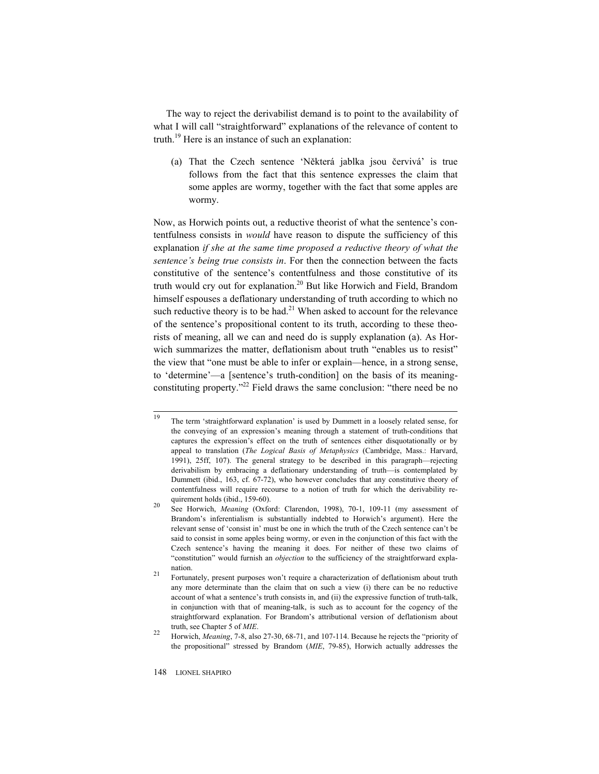The way to reject the derivabilist demand is to point to the availability of what I will call "straightforward" explanations of the relevance of content to truth.<sup>19</sup> Here is an instance of such an explanation:

(a) That the Czech sentence 'Některá jablka jsou červivá' is true follows from the fact that this sentence expresses the claim that some apples are wormy, together with the fact that some apples are wormy.

Now, as Horwich points out, a reductive theorist of what the sentence's contentfulness consists in *would* have reason to dispute the sufficiency of this explanation *if she at the same time proposed a reductive theory of what the sentence's being true consists in*. For then the connection between the facts constitutive of the sentence's contentfulness and those constitutive of its truth would cry out for explanation.<sup>20</sup> But like Horwich and Field, Brandom himself espouses a deflationary understanding of truth according to which no such reductive theory is to be had.<sup>21</sup> When asked to account for the relevance of the sentence's propositional content to its truth, according to these theorists of meaning, all we can and need do is supply explanation (a). As Horwich summarizes the matter, deflationism about truth "enables us to resist" the view that "one must be able to infer or explain—hence, in a strong sense, to 'determine'—a [sentence's truth-condition] on the basis of its meaningconstituting property."<sup>22</sup> Field draws the same conclusion: "there need be no

<sup>19</sup> The term 'straightforward explanation' is used by Dummett in a loosely related sense, for the conveying of an expression's meaning through a statement of truth-conditions that captures the expression's effect on the truth of sentences either disquotationally or by appeal to translation (*The Logical Basis of Metaphysics* (Cambridge, Mass.: Harvard, 1991), 25ff, 107). The general strategy to be described in this paragraph—rejecting derivabilism by embracing a deflationary understanding of truth—is contemplated by Dummett (ibid., 163, cf. 67-72), who however concludes that any constitutive theory of contentfulness will require recourse to a notion of truth for which the derivability re-

quirement holds (ibid., 159-60).<br><sup>20</sup> See Horwich, *Meaning* (Oxford: Clarendon, 1998), 70-1, 109-11 (my assessment of Brandom's inferentialism is substantially indebted to Horwich's argument). Here the relevant sense of 'consist in' must be one in which the truth of the Czech sentence can't be said to consist in some apples being wormy, or even in the conjunction of this fact with the Czech sentence's having the meaning it does. For neither of these two claims of "constitution" would furnish an *objection* to the sufficiency of the straightforward explanation.<br><sup>21</sup> Fortunately, present purposes won't require a characterization of deflationism about truth

any more determinate than the claim that on such a view (i) there can be no reductive account of what a sentence's truth consists in, and (ii) the expressive function of truth-talk, in conjunction with that of meaning-talk, is such as to account for the cogency of the straightforward explanation. For Brandom's attributional version of deflationism about

truth, see Chapter 5 of *MIE*. 22 Horwich, *Meaning*, 7-8, also 27-30, 68-71, and 107-114. Because he rejects the "priority of the propositional" stressed by Brandom (*MIE*, 79-85), Horwich actually addresses the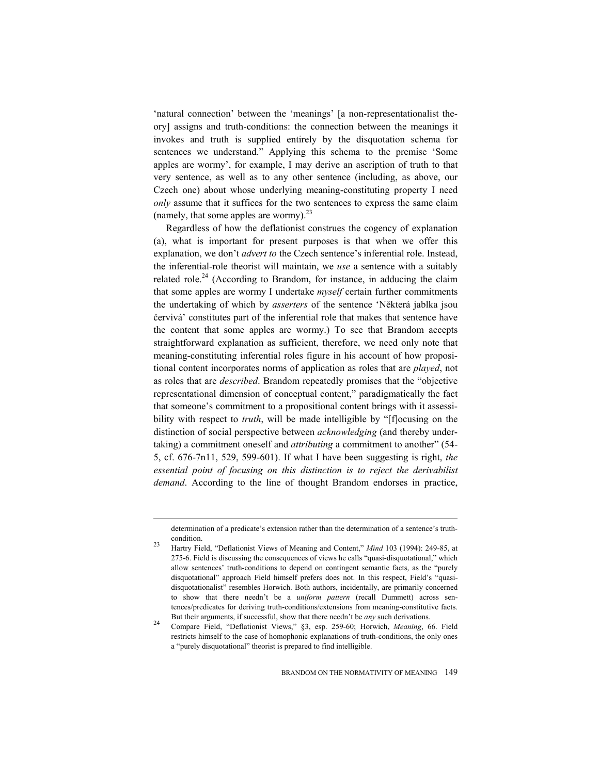'natural connection' between the 'meanings' [a non-representationalist theory] assigns and truth-conditions: the connection between the meanings it invokes and truth is supplied entirely by the disquotation schema for sentences we understand." Applying this schema to the premise 'Some apples are wormy', for example, I may derive an ascription of truth to that very sentence, as well as to any other sentence (including, as above, our Czech one) about whose underlying meaning-constituting property I need *only* assume that it suffices for the two sentences to express the same claim (namely, that some apples are wormy). $^{23}$ 

Regardless of how the deflationist construes the cogency of explanation (a), what is important for present purposes is that when we offer this explanation, we don't *advert to* the Czech sentence's inferential role. Instead, the inferential-role theorist will maintain, we *use* a sentence with a suitably related role.<sup>24</sup> (According to Brandom, for instance, in adducing the claim that some apples are wormy I undertake *myself* certain further commitments the undertaking of which by *asserters* of the sentence 'NČkterá jablka jsou červivá' constitutes part of the inferential role that makes that sentence have the content that some apples are wormy.) To see that Brandom accepts straightforward explanation as sufficient, therefore, we need only note that meaning-constituting inferential roles figure in his account of how propositional content incorporates norms of application as roles that are *played*, not as roles that are *described*. Brandom repeatedly promises that the "objective representational dimension of conceptual content," paradigmatically the fact that someone's commitment to a propositional content brings with it assessibility with respect to *truth*, will be made intelligible by "[f]ocusing on the distinction of social perspective between *acknowledging* (and thereby undertaking) a commitment oneself and *attributing* a commitment to another" (54- 5, cf. 676-7n11, 529, 599-601). If what I have been suggesting is right, *the essential point of focusing on this distinction is to reject the derivabilist demand*. According to the line of thought Brandom endorses in practice,

determination of a predicate's extension rather than the determination of a sentence's truthcondition. 23 Hartry Field, "Deflationist Views of Meaning and Content," *Mind* 103 (1994): 249-85, at

<sup>275-6.</sup> Field is discussing the consequences of views he calls "quasi-disquotational," which allow sentences' truth-conditions to depend on contingent semantic facts, as the "purely disquotational" approach Field himself prefers does not. In this respect, Field's "quasidisquotationalist" resembles Horwich. Both authors, incidentally, are primarily concerned to show that there needn't be a *uniform pattern* (recall Dummett) across sentences/predicates for deriving truth-conditions/extensions from meaning-constitutive facts.

But their arguments, if successful, show that there needn't be *any* such derivations. 24 Compare Field, "Deflationist Views," §3, esp. 259-60; Horwich, *Meaning*, 66. Field restricts himself to the case of homophonic explanations of truth-conditions, the only ones a "purely disquotational" theorist is prepared to find intelligible.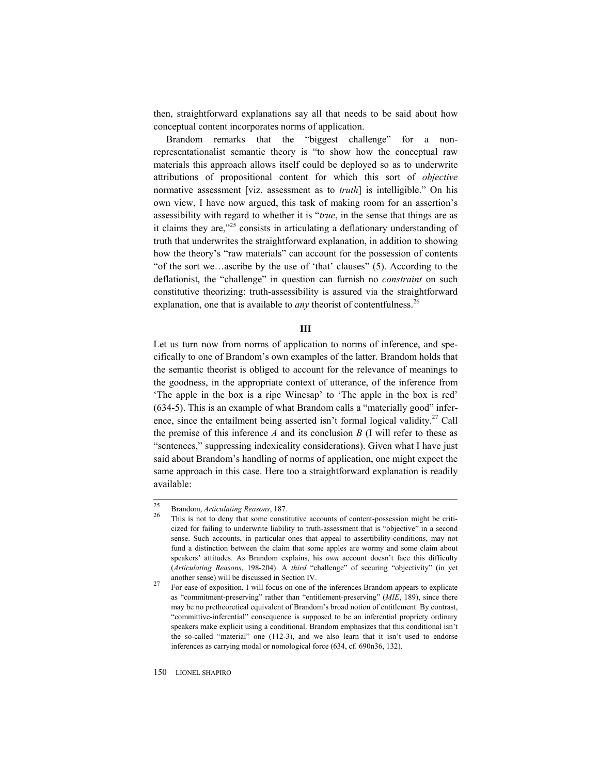then, straightforward explanations say all that needs to be said about how conceptual content incorporates norms of application.

Brandom remarks that the "biggest challenge" for a nonrepresentationalist semantic theory is "to show how the conceptual raw materials this approach allows itself could be deployed so as to underwrite attributions of propositional content for which this sort of *objective* normative assessment [viz. assessment as to *truth*] is intelligible." On his own view, I have now argued, this task of making room for an assertion's assessibility with regard to whether it is "*true*, in the sense that things are as it claims they are, $^{325}$  consists in articulating a deflationary understanding of truth that underwrites the straightforward explanation, in addition to showing how the theory's "raw materials" can account for the possession of contents "of the sort we…ascribe by the use of 'that' clauses" (5). According to the deflationist, the "challenge" in question can furnish no *constraint* on such constitutive theorizing: truth-assessibility is assured via the straightforward explanation, one that is available to *any* theorist of contentfulness.<sup>26</sup>

## **III**

Let us turn now from norms of application to norms of inference, and specifically to one of Brandom's own examples of the latter. Brandom holds that the semantic theorist is obliged to account for the relevance of meanings to the goodness, in the appropriate context of utterance, of the inference from 'The apple in the box is a ripe Winesap' to 'The apple in the box is red' (634-5). This is an example of what Brandom calls a "materially good" inference, since the entailment being asserted isn't formal logical validity.<sup>27</sup> Call the premise of this inference  $A$  and its conclusion  $B$  (I will refer to these as "sentences," suppressing indexicality considerations). Given what I have just said about Brandom's handling of norms of application, one might expect the same approach in this case. Here too a straightforward explanation is readily available:

150 LIONEL SHAPIRO

 $25$ 

<sup>&</sup>lt;sup>25</sup> Brandom, *Articulating Reasons*, 187.<br><sup>26</sup> This is not to deny that some constitutive accounts of content-possession might be criticized for failing to underwrite liability to truth-assessment that is "objective" in a second sense. Such accounts, in particular ones that appeal to assertibility-conditions, may not fund a distinction between the claim that some apples are wormy and some claim about speakers' attitudes. As Brandom explains, his *own* account doesn't face this difficulty (*Articulating Reasons*, 198-204). A *third* "challenge" of securing "objectivity" (in yet another sense) will be discussed in Section IV. 27 For ease of exposition, I will focus on one of the inferences Brandom appears to explicate

as "commitment-preserving" rather than "entitlement-preserving" (*MIE*, 189), since there may be no pretheoretical equivalent of Brandom's broad notion of entitlement. By contrast, "committive-inferential" consequence is supposed to be an inferential propriety ordinary speakers make explicit using a conditional. Brandom emphasizes that this conditional isn't the so-called "material" one (112-3), and we also learn that it isn't used to endorse inferences as carrying modal or nomological force (634, cf. 690n36, 132).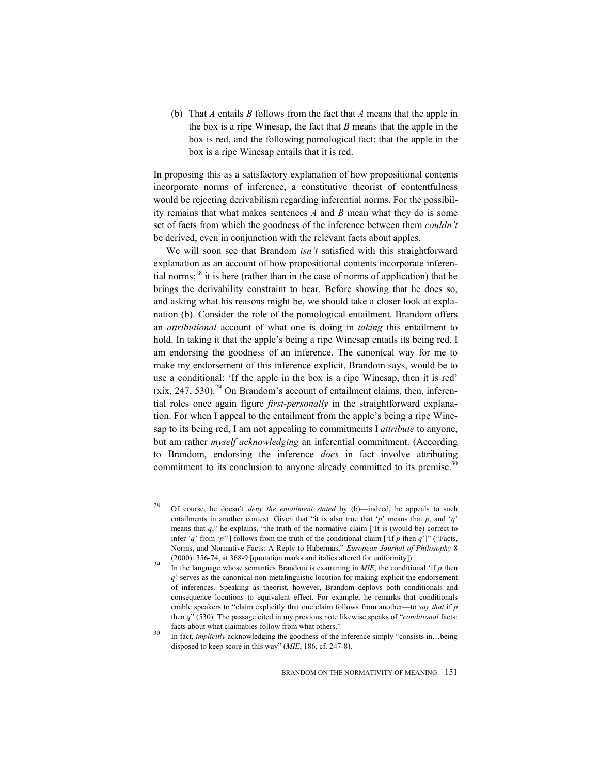(b) That *A* entails *B* follows from the fact that *A* means that the apple in the box is a ripe Winesap, the fact that *B* means that the apple in the box is red, and the following pomological fact: that the apple in the box is a ripe Winesap entails that it is red.

In proposing this as a satisfactory explanation of how propositional contents incorporate norms of inference, a constitutive theorist of contentfulness would be rejecting derivabilism regarding inferential norms. For the possibility remains that what makes sentences *A* and *B* mean what they do is some set of facts from which the goodness of the inference between them *couldn't* be derived, even in conjunction with the relevant facts about apples.

We will soon see that Brandom *isn't* satisfied with this straightforward explanation as an account of how propositional contents incorporate inferential norms; $^{28}$  it is here (rather than in the case of norms of application) that he brings the derivability constraint to bear. Before showing that he does so, and asking what his reasons might be, we should take a closer look at explanation (b). Consider the role of the pomological entailment. Brandom offers an *attributional* account of what one is doing in *taking* this entailment to hold. In taking it that the apple's being a ripe Winesap entails its being red, I am endorsing the goodness of an inference. The canonical way for me to make my endorsement of this inference explicit, Brandom says, would be to use a conditional: 'If the apple in the box is a ripe Winesap, then it is red'  $(xix, 247, 530).<sup>29</sup>$  On Brandom's account of entailment claims, then, inferential roles once again figure *first-personally* in the straightforward explanation. For when I appeal to the entailment from the apple's being a ripe Winesap to its being red, I am not appealing to commitments I *attribute* to anyone, but am rather *myself acknowledging* an inferential commitment. (According to Brandom, endorsing the inference *does* in fact involve attributing commitment to its conclusion to anyone already committed to its premise.<sup>30</sup>

<sup>28</sup> 28 Of course, he doesn't *deny the entailment stated* by (b)—indeed, he appeals to such entailments in another context. Given that "it is also true that '*p*' means that *p*, and '*q*' means that  $q$ ," he explains, "the truth of the normative claim [ $'$ It is (would be) correct to infer '*q*' from '*p*''] follows from the truth of the conditional claim ['If *p* then *q*']" ("Facts, Norms, and Normative Facts: A Reply to Habermas," *European Journal of Philosophy* 8

<sup>(2000): 356-74,</sup> at 368-9 [quotation marks and italics altered for uniformity]).<br><sup>29</sup> In the language whose semantics Brandom is examining in *MIE*, the conditional 'if *p* then *q*' serves as the canonical non-metalinguistic locution for making explicit the endorsement of inferences. Speaking as theorist, however, Brandom deploys both conditionals and consequence locutions to equivalent effect. For example, he remarks that conditionals enable speakers to "claim explicitly that one claim follows from another—to *say that* if *p* then *q*" (530). The passage cited in my previous note likewise speaks of "*conditional* facts: facts about what claimables follow from what others."<br>In fact, *implicitly* acknowledging the goodness of the inference simply "consists in...being

disposed to keep score in this way" (*MIE*, 186, cf. 247-8).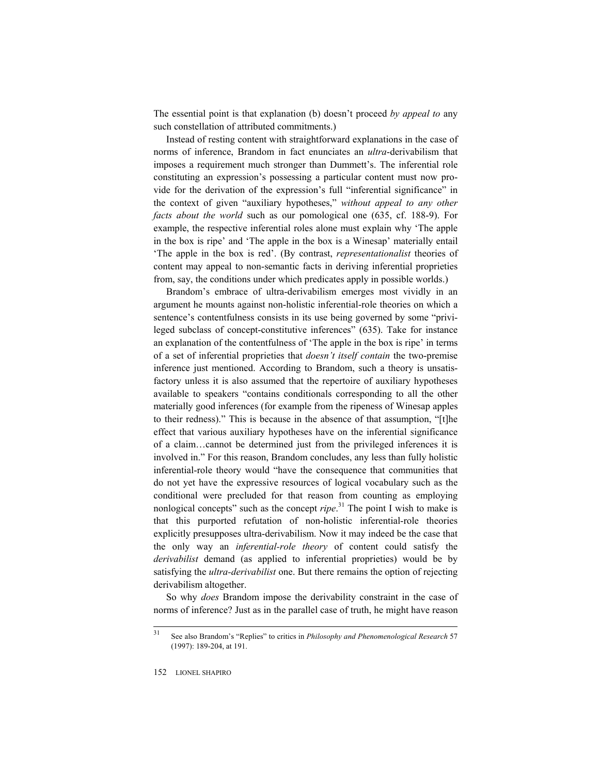The essential point is that explanation (b) doesn't proceed *by appeal to* any such constellation of attributed commitments.)

Instead of resting content with straightforward explanations in the case of norms of inference, Brandom in fact enunciates an *ultra*-derivabilism that imposes a requirement much stronger than Dummett's. The inferential role constituting an expression's possessing a particular content must now provide for the derivation of the expression's full "inferential significance" in the context of given "auxiliary hypotheses," *without appeal to any other facts about the world* such as our pomological one (635, cf. 188-9). For example, the respective inferential roles alone must explain why 'The apple in the box is ripe' and 'The apple in the box is a Winesap' materially entail 'The apple in the box is red'. (By contrast, *representationalist* theories of content may appeal to non-semantic facts in deriving inferential proprieties from, say, the conditions under which predicates apply in possible worlds.)

Brandom's embrace of ultra-derivabilism emerges most vividly in an argument he mounts against non-holistic inferential-role theories on which a sentence's contentfulness consists in its use being governed by some "privileged subclass of concept-constitutive inferences" (635). Take for instance an explanation of the contentfulness of 'The apple in the box is ripe' in terms of a set of inferential proprieties that *doesn't itself contain* the two-premise inference just mentioned. According to Brandom, such a theory is unsatisfactory unless it is also assumed that the repertoire of auxiliary hypotheses available to speakers "contains conditionals corresponding to all the other materially good inferences (for example from the ripeness of Winesap apples to their redness)." This is because in the absence of that assumption, "[t]he effect that various auxiliary hypotheses have on the inferential significance of a claim…cannot be determined just from the privileged inferences it is involved in." For this reason, Brandom concludes, any less than fully holistic inferential-role theory would "have the consequence that communities that do not yet have the expressive resources of logical vocabulary such as the conditional were precluded for that reason from counting as employing nonlogical concepts" such as the concept *ripe*. 31 The point I wish to make is that this purported refutation of non-holistic inferential-role theories explicitly presupposes ultra-derivabilism. Now it may indeed be the case that the only way an *inferential-role theory* of content could satisfy the *derivabilist* demand (as applied to inferential proprieties) would be by satisfying the *ultra-derivabilist* one. But there remains the option of rejecting derivabilism altogether.

So why *does* Brandom impose the derivability constraint in the case of norms of inference? Just as in the parallel case of truth, he might have reason

<sup>31</sup> 31 See also Brandom's "Replies" to critics in *Philosophy and Phenomenological Research* 57 (1997): 189-204, at 191.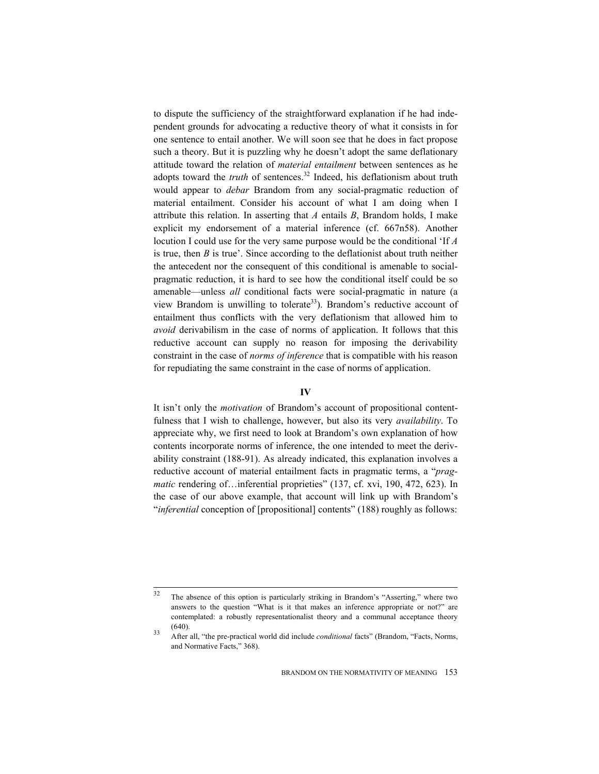to dispute the sufficiency of the straightforward explanation if he had independent grounds for advocating a reductive theory of what it consists in for one sentence to entail another. We will soon see that he does in fact propose such a theory. But it is puzzling why he doesn't adopt the same deflationary attitude toward the relation of *material entailment* between sentences as he adopts toward the *truth* of sentences.<sup>32</sup> Indeed, his deflationism about truth would appear to *debar* Brandom from any social-pragmatic reduction of material entailment. Consider his account of what I am doing when I attribute this relation. In asserting that *A* entails *B*, Brandom holds, I make explicit my endorsement of a material inference (cf. 667n58). Another locution I could use for the very same purpose would be the conditional 'If *A* is true, then *B* is true'. Since according to the deflationist about truth neither the antecedent nor the consequent of this conditional is amenable to socialpragmatic reduction, it is hard to see how the conditional itself could be so amenable—unless *all* conditional facts were social-pragmatic in nature (a view Brandom is unwilling to tolerate<sup>33</sup>). Brandom's reductive account of entailment thus conflicts with the very deflationism that allowed him to *avoid* derivabilism in the case of norms of application. It follows that this reductive account can supply no reason for imposing the derivability constraint in the case of *norms of inference* that is compatible with his reason for repudiating the same constraint in the case of norms of application.

## **IV**

It isn't only the *motivation* of Brandom's account of propositional contentfulness that I wish to challenge, however, but also its very *availability*. To appreciate why, we first need to look at Brandom's own explanation of how contents incorporate norms of inference, the one intended to meet the derivability constraint (188-91). As already indicated, this explanation involves a reductive account of material entailment facts in pragmatic terms, a "*pragmatic* rendering of…inferential proprieties" (137, cf. xvi, 190, 472, 623). In the case of our above example, that account will link up with Brandom's "*inferential* conception of [propositional] contents" (188) roughly as follows:

<sup>32</sup> The absence of this option is particularly striking in Brandom's "Asserting," where two answers to the question "What is it that makes an inference appropriate or not?" are contemplated: a robustly representationalist theory and a communal acceptance theory (640). 33 After all, "the pre-practical world did include *conditional* facts" (Brandom, "Facts, Norms,

and Normative Facts," 368).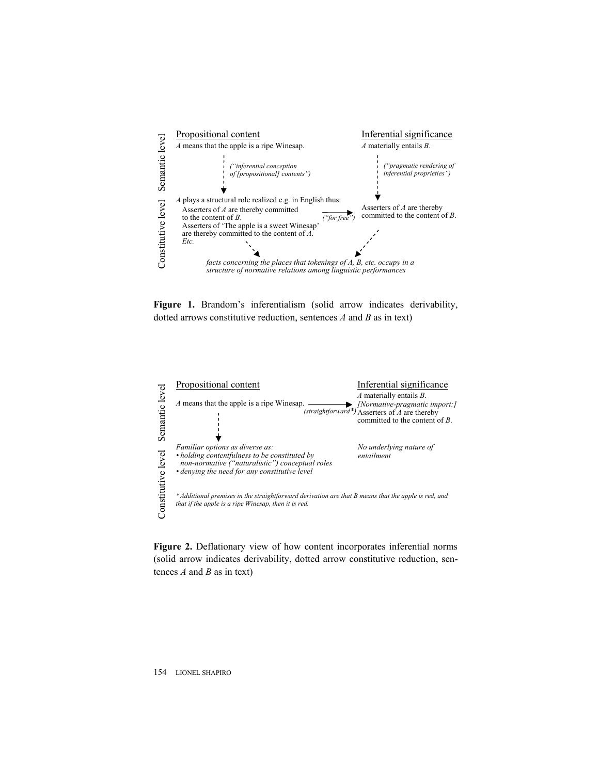

**Figure 1.** Brandom's inferentialism (solid arrow indicates derivability, dotted arrows constitutive reduction, sentences *A* and *B* as in text)



**Figure 2.** Deflationary view of how content incorporates inferential norms (solid arrow indicates derivability, dotted arrow constitutive reduction, sen-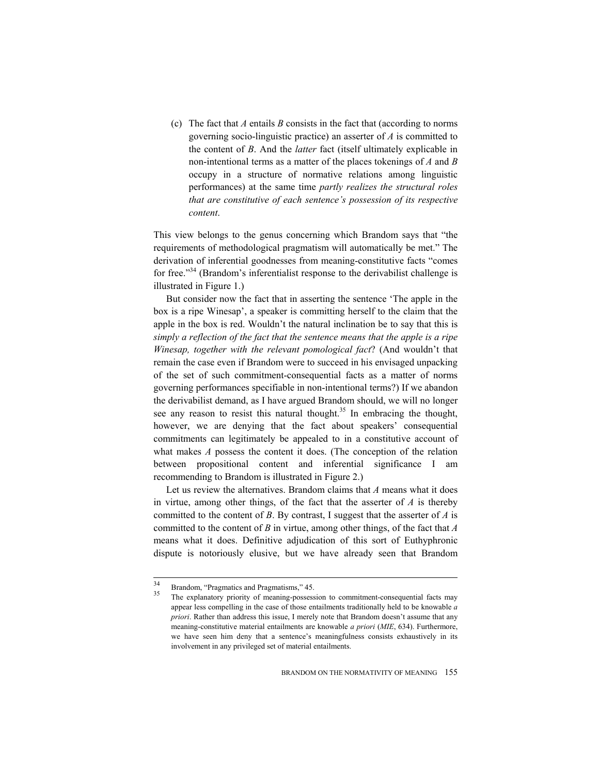(c) The fact that *A* entails *B* consists in the fact that (according to norms governing socio-linguistic practice) an asserter of *A* is committed to the content of *B*. And the *latter* fact (itself ultimately explicable in non-intentional terms as a matter of the places tokenings of *A* and *B* occupy in a structure of normative relations among linguistic performances) at the same time *partly realizes the structural roles that are constitutive of each sentence's possession of its respective content*.

This view belongs to the genus concerning which Brandom says that "the requirements of methodological pragmatism will automatically be met." The derivation of inferential goodnesses from meaning-constitutive facts "comes for free."34 (Brandom's inferentialist response to the derivabilist challenge is illustrated in Figure 1.)

But consider now the fact that in asserting the sentence 'The apple in the box is a ripe Winesap', a speaker is committing herself to the claim that the apple in the box is red. Wouldn't the natural inclination be to say that this is *simply a reflection of the fact that the sentence means that the apple is a ripe Winesap, together with the relevant pomological fact*? (And wouldn't that remain the case even if Brandom were to succeed in his envisaged unpacking of the set of such commitment-consequential facts as a matter of norms governing performances specifiable in non-intentional terms?) If we abandon the derivabilist demand, as I have argued Brandom should, we will no longer see any reason to resist this natural thought.<sup>35</sup> In embracing the thought, however, we are denying that the fact about speakers' consequential commitments can legitimately be appealed to in a constitutive account of what makes *A* possess the content it does. (The conception of the relation between propositional content and inferential significance I am recommending to Brandom is illustrated in Figure 2.)

Let us review the alternatives. Brandom claims that *A* means what it does in virtue, among other things, of the fact that the asserter of *A* is thereby committed to the content of *B*. By contrast, I suggest that the asserter of *A* is committed to the content of *B* in virtue, among other things, of the fact that *A* means what it does. Definitive adjudication of this sort of Euthyphronic dispute is notoriously elusive, but we have already seen that Brandom

 $34$ 

Brandom, "Pragmatics and Pragmatisms," 45.<br>The explanatory priority of meaning-possession to commitment-consequential facts may appear less compelling in the case of those entailments traditionally held to be knowable *a priori*. Rather than address this issue, I merely note that Brandom doesn't assume that any meaning-constitutive material entailments are knowable *a priori* (*MIE*, 634). Furthermore, we have seen him deny that a sentence's meaningfulness consists exhaustively in its involvement in any privileged set of material entailments.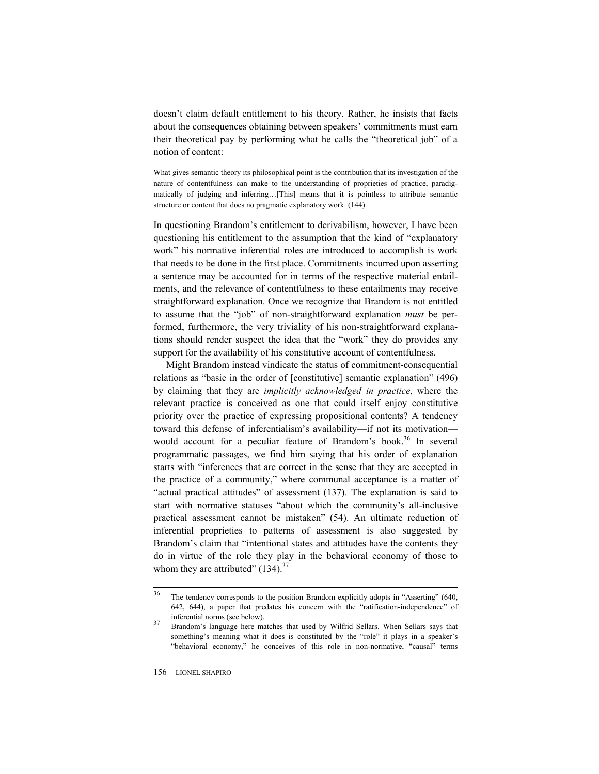doesn't claim default entitlement to his theory. Rather, he insists that facts about the consequences obtaining between speakers' commitments must earn their theoretical pay by performing what he calls the "theoretical job" of a notion of content:

What gives semantic theory its philosophical point is the contribution that its investigation of the nature of contentfulness can make to the understanding of proprieties of practice, paradigmatically of judging and inferring…[This] means that it is pointless to attribute semantic structure or content that does no pragmatic explanatory work. (144)

In questioning Brandom's entitlement to derivabilism, however, I have been questioning his entitlement to the assumption that the kind of "explanatory work" his normative inferential roles are introduced to accomplish is work that needs to be done in the first place. Commitments incurred upon asserting a sentence may be accounted for in terms of the respective material entailments, and the relevance of contentfulness to these entailments may receive straightforward explanation. Once we recognize that Brandom is not entitled to assume that the "job" of non-straightforward explanation *must* be performed, furthermore, the very triviality of his non-straightforward explanations should render suspect the idea that the "work" they do provides any support for the availability of his constitutive account of contentfulness.

Might Brandom instead vindicate the status of commitment-consequential relations as "basic in the order of [constitutive] semantic explanation" (496) by claiming that they are *implicitly acknowledged in practice*, where the relevant practice is conceived as one that could itself enjoy constitutive priority over the practice of expressing propositional contents? A tendency toward this defense of inferentialism's availability—if not its motivation would account for a peculiar feature of Brandom's book.<sup>36</sup> In several programmatic passages, we find him saying that his order of explanation starts with "inferences that are correct in the sense that they are accepted in the practice of a community," where communal acceptance is a matter of "actual practical attitudes" of assessment (137). The explanation is said to start with normative statuses "about which the community's all-inclusive practical assessment cannot be mistaken" (54). An ultimate reduction of inferential proprieties to patterns of assessment is also suggested by Brandom's claim that "intentional states and attitudes have the contents they do in virtue of the role they play in the behavioral economy of those to whom they are attributed"  $(134).$ <sup>37</sup>

<sup>36</sup> The tendency corresponds to the position Brandom explicitly adopts in "Asserting" (640, 642, 644), a paper that predates his concern with the "ratification-independence" of inferential norms (see below).<br>37 Brandom's language here matches that used by Wilfrid Sellars. When Sellars says that

something's meaning what it does is constituted by the "role" it plays in a speaker's "behavioral economy," he conceives of this role in non-normative, "causal" terms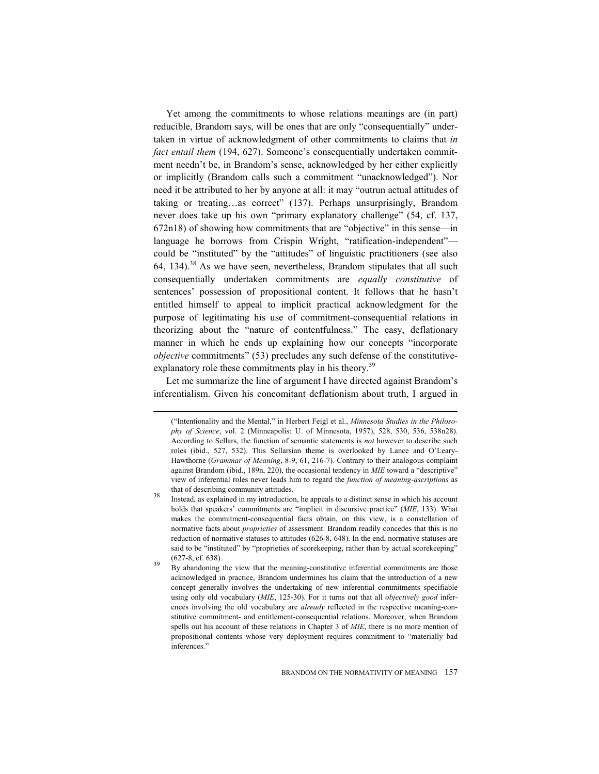Yet among the commitments to whose relations meanings are (in part) reducible, Brandom says, will be ones that are only "consequentially" undertaken in virtue of acknowledgment of other commitments to claims that *in fact entail them* (194, 627). Someone's consequentially undertaken commitment needn't be, in Brandom's sense, acknowledged by her either explicitly or implicitly (Brandom calls such a commitment "unacknowledged"). Nor need it be attributed to her by anyone at all: it may "outrun actual attitudes of taking or treating…as correct" (137). Perhaps unsurprisingly, Brandom never does take up his own "primary explanatory challenge" (54, cf. 137, 672n18) of showing how commitments that are "objective" in this sense—in language he borrows from Crispin Wright, "ratification-independent" could be "instituted" by the "attitudes" of linguistic practitioners (see also 64, 134).<sup>38</sup> As we have seen, nevertheless, Brandom stipulates that all such consequentially undertaken commitments are *equally constitutive* of sentences' possession of propositional content. It follows that he hasn't entitled himself to appeal to implicit practical acknowledgment for the purpose of legitimating his use of commitment-consequential relations in theorizing about the "nature of contentfulness." The easy, deflationary manner in which he ends up explaining how our concepts "incorporate *objective* commitments" (53) precludes any such defense of the constitutiveexplanatory role these commitments play in his theory.<sup>39</sup>

Let me summarize the line of argument I have directed against Brandom's inferentialism. Given his concomitant deflationism about truth, I argued in

<sup>(&</sup>quot;Intentionality and the Mental," in Herbert Feigl et al., *Minnesota Studies in the Philosophy of Science*, vol. 2 (Minneapolis: U. of Minnesota, 1957), 528, 530, 536, 538n28). According to Sellars, the function of semantic statements is *not* however to describe such roles (ibid., 527, 532). This Sellarsian theme is overlooked by Lance and O'Leary-Hawthorne (*Grammar of Meaning*, 8-9, 61, 216-7). Contrary to their analogous complaint against Brandom (ibid., 189n, 220), the occasional tendency in *MIE* toward a "descriptive" view of inferential roles never leads him to regard the *function of meaning-ascriptions* as

that of describing community attitudes.<br><sup>38</sup> Instead, as explained in my introduction, he appeals to a distinct sense in which his account holds that speakers' commitments are "implicit in discursive practice" (*MIE*, 133). What makes the commitment-consequential facts obtain, on this view, is a constellation of normative facts about *proprieties* of assessment. Brandom readily concedes that this is no reduction of normative statuses to attitudes (626-8, 648). In the end, normative statuses are said to be "instituted" by "proprieties of scorekeeping, rather than by actual scorekeeping" (627-8, cf. 638).<br><sup>39</sup> By abandoning the view that the meaning-constitutive inferential commitments are those

acknowledged in practice, Brandom undermines his claim that the introduction of a new concept generally involves the undertaking of new inferential commitments specifiable using only old vocabulary (*MIE*, 125-30). For it turns out that all *objectively good* inferences involving the old vocabulary are *already* reflected in the respective meaning-constitutive commitment- and entitlement-consequential relations. Moreover, when Brandom spells out his account of these relations in Chapter 3 of *MIE*, there is no more mention of propositional contents whose very deployment requires commitment to "materially bad inferences."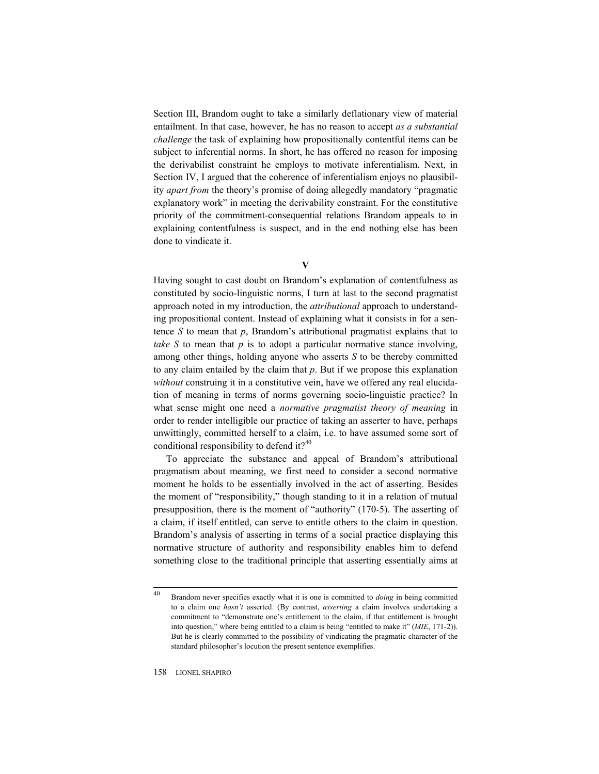Section III, Brandom ought to take a similarly deflationary view of material entailment. In that case, however, he has no reason to accept *as a substantial challenge* the task of explaining how propositionally contentful items can be subject to inferential norms. In short, he has offered no reason for imposing the derivabilist constraint he employs to motivate inferentialism. Next, in Section IV, I argued that the coherence of inferentialism enjoys no plausibility *apart from* the theory's promise of doing allegedly mandatory "pragmatic explanatory work" in meeting the derivability constraint. For the constitutive priority of the commitment-consequential relations Brandom appeals to in explaining contentfulness is suspect, and in the end nothing else has been done to vindicate it.

**V** 

Having sought to cast doubt on Brandom's explanation of contentfulness as constituted by socio-linguistic norms, I turn at last to the second pragmatist approach noted in my introduction, the *attributional* approach to understanding propositional content. Instead of explaining what it consists in for a sentence *S* to mean that *p*, Brandom's attributional pragmatist explains that to *take*  $S$  to mean that  $p$  is to adopt a particular normative stance involving, among other things, holding anyone who asserts *S* to be thereby committed to any claim entailed by the claim that *p*. But if we propose this explanation *without* construing it in a constitutive vein, have we offered any real elucidation of meaning in terms of norms governing socio-linguistic practice? In what sense might one need a *normative pragmatist theory of meaning* in order to render intelligible our practice of taking an asserter to have, perhaps unwittingly, committed herself to a claim, i.e. to have assumed some sort of conditional responsibility to defend it? $40$ 

To appreciate the substance and appeal of Brandom's attributional pragmatism about meaning, we first need to consider a second normative moment he holds to be essentially involved in the act of asserting. Besides the moment of "responsibility," though standing to it in a relation of mutual presupposition, there is the moment of "authority" (170-5). The asserting of a claim, if itself entitled, can serve to entitle others to the claim in question. Brandom's analysis of asserting in terms of a social practice displaying this normative structure of authority and responsibility enables him to defend something close to the traditional principle that asserting essentially aims at

<sup>40</sup> 40 Brandom never specifies exactly what it is one is committed to *doing* in being committed to a claim one *hasn't* asserted. (By contrast, *asserting* a claim involves undertaking a commitment to "demonstrate one's entitlement to the claim, if that entitlement is brought into question," where being entitled to a claim is being "entitled to make it" (*MIE*, 171-2)). But he is clearly committed to the possibility of vindicating the pragmatic character of the standard philosopher's locution the present sentence exemplifies.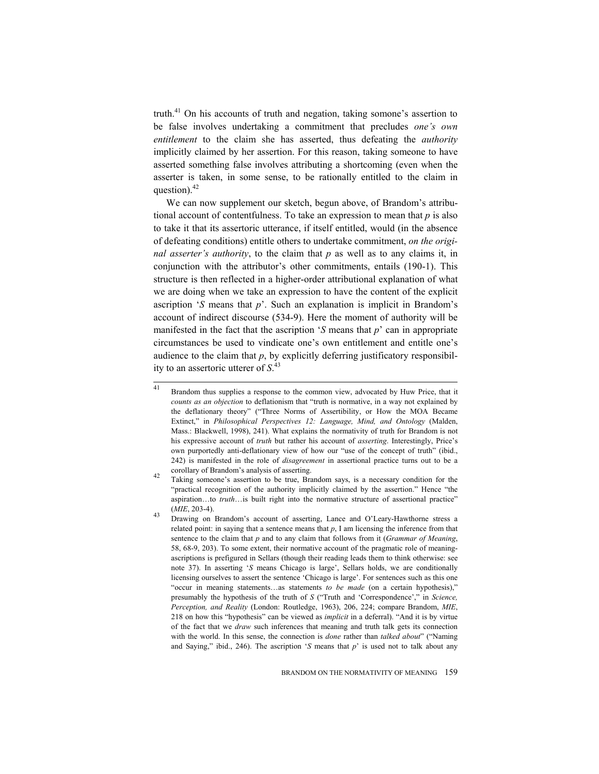truth.<sup>41</sup> On his accounts of truth and negation, taking somone's assertion to be false involves undertaking a commitment that precludes *one's own entitlement* to the claim she has asserted, thus defeating the *authority* implicitly claimed by her assertion. For this reason, taking someone to have asserted something false involves attributing a shortcoming (even when the asserter is taken, in some sense, to be rationally entitled to the claim in question). $42$ 

We can now supplement our sketch, begun above, of Brandom's attributional account of contentfulness. To take an expression to mean that *p* is also to take it that its assertoric utterance, if itself entitled, would (in the absence of defeating conditions) entitle others to undertake commitment, *on the original asserter's authority*, to the claim that *p* as well as to any claims it, in conjunction with the attributor's other commitments, entails (190-1). This structure is then reflected in a higher-order attributional explanation of what we are doing when we take an expression to have the content of the explicit ascription '*S* means that *p*'. Such an explanation is implicit in Brandom's account of indirect discourse (534-9). Here the moment of authority will be manifested in the fact that the ascription '*S* means that *p*' can in appropriate circumstances be used to vindicate one's own entitlement and entitle one's audience to the claim that  $p$ , by explicitly deferring justificatory responsibility to an assertoric utterer of *S*. 43

 $41$ Brandom thus supplies a response to the common view, advocated by Huw Price, that it *counts as an objection* to deflationism that "truth is normative, in a way not explained by the deflationary theory" ("Three Norms of Assertibility, or How the MOA Became Extinct," in *Philosophical Perspectives 12: Language, Mind, and Ontology* (Malden, Mass.: Blackwell, 1998), 241). What explains the normativity of truth for Brandom is not his expressive account of *truth* but rather his account of *asserting*. Interestingly, Price's own purportedly anti-deflationary view of how our "use of the concept of truth" (ibid., 242) is manifested in the role of *disagreement* in assertional practice turns out to be a

corollary of Brandom's analysis of asserting. 42 Taking someone's assertion to be true, Brandom says, is a necessary condition for the "practical recognition of the authority implicitly claimed by the assertion." Hence "the aspiration…to *truth*…is built right into the normative structure of assertional practice" (*MIE*, 203-4). 43 Drawing on Brandom's account of asserting, Lance and O'Leary-Hawthorne stress a

related point: in saying that a sentence means that  $p$ , I am licensing the inference from that sentence to the claim that *p* and to any claim that follows from it (*Grammar of Meaning*, 58, 68-9, 203). To some extent, their normative account of the pragmatic role of meaningascriptions is prefigured in Sellars (though their reading leads them to think otherwise: see note 37). In asserting '*S* means Chicago is large', Sellars holds, we are conditionally licensing ourselves to assert the sentence 'Chicago is large'. For sentences such as this one "occur in meaning statements…as statements *to be made* (on a certain hypothesis)," presumably the hypothesis of the truth of *S* ("Truth and 'Correspondence'," in *Science, Perception, and Reality* (London: Routledge, 1963), 206, 224; compare Brandom, *MIE*, 218 on how this "hypothesis" can be viewed as *implicit* in a deferral). "And it is by virtue of the fact that we *draw* such inferences that meaning and truth talk gets its connection with the world. In this sense, the connection is *done* rather than *talked about*" ("Naming and Saying," ibid., 246). The ascription '*S* means that  $p$ ' is used not to talk about any